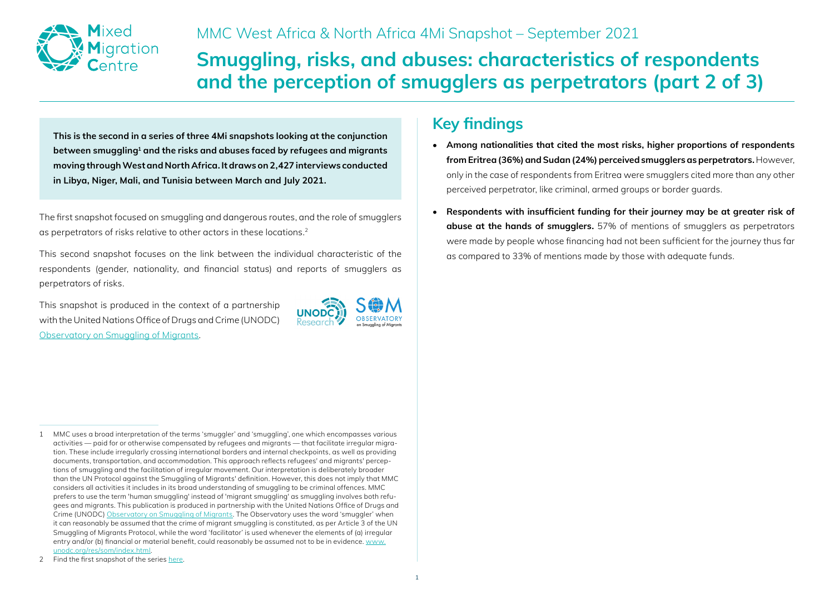

# **Smuggling, risks, and abuses: characteristics of respondents and the perception of smugglers as perpetrators (part 2 of 3)**

**This is the second in a series of three 4Mi snapshots looking at the conjunction between smuggling1 and the risks and abuses faced by refugees and migrants moving through West and North Africa. It draws on 2,427 interviews conducted in Libya, Niger, Mali, and Tunisia between March and July 2021.**

The first snapshot focused on smuggling and dangerous routes, and the role of smugglers as perpetrators of risks relative to other actors in these locations.<sup>2</sup>

This second snapshot focuses on the link between the individual characteristic of the respondents (gender, nationality, and financial status) and reports of smugglers as perpetrators of risks.

This snapshot is produced in the context of a partnership with the United Nations Office of Drugs and Crime (UNODC) [Observatory on Smuggling of Migrants.](http://www.unodc.org/res/som/index.html)



## **Key findings**

- **Among nationalities that cited the most risks, higher proportions of respondents from Eritrea (36%) and Sudan (24%) perceived smugglers as perpetrators.** However, only in the case of respondents from Eritrea were smugglers cited more than any other perceived perpetrator, like criminal, armed groups or border guards.
- **Respondents with insufficient funding for their journey may be at greater risk of abuse at the hands of smugglers.** 57% of mentions of smugglers as perpetrators were made by people whose financing had not been sufficient for the journey thus far as compared to 33% of mentions made by those with adequate funds.

<sup>1</sup> MMC uses a broad interpretation of the terms 'smuggler' and 'smuggling', one which encompasses various activities — paid for or otherwise compensated by refugees and migrants — that facilitate irregular migration. These include irregularly crossing international borders and internal checkpoints, as well as providing documents, transportation, and accommodation. This approach reflects refugees' and migrants' perceptions of smuggling and the facilitation of irregular movement. Our interpretation is deliberately broader than the UN Protocol against the Smuggling of Migrants' definition. However, this does not imply that MMC considers all activities it includes in its broad understanding of smuggling to be criminal offences. MMC prefers to use the term 'human smuggling' instead of 'migrant smuggling' as smuggling involves both refugees and migrants. This publication is produced in partnership with the United Nations Office of Drugs and Crime (UNODC) [Observatory on Smuggling of Migrants](http://www.unodc.org/res/som/index.html). The Observatory uses the word 'smuggler' when it can reasonably be assumed that the crime of migrant smuggling is constituted, as per Article 3 of the UN Smuggling of Migrants Protocol, while the word 'facilitator' is used whenever the elements of (a) irregular entry and/or (b) financial or material benefit, could reasonably be assumed not to be in evidence. [www.](http://www.unodc.org/res/som/index.html) [unodc.org/res/som/index.html](http://www.unodc.org/res/som/index.html).

<sup>2</sup> Find the first snapshot of the series [here.](https://mixedmigration.org/resource/4mi-snapshot/)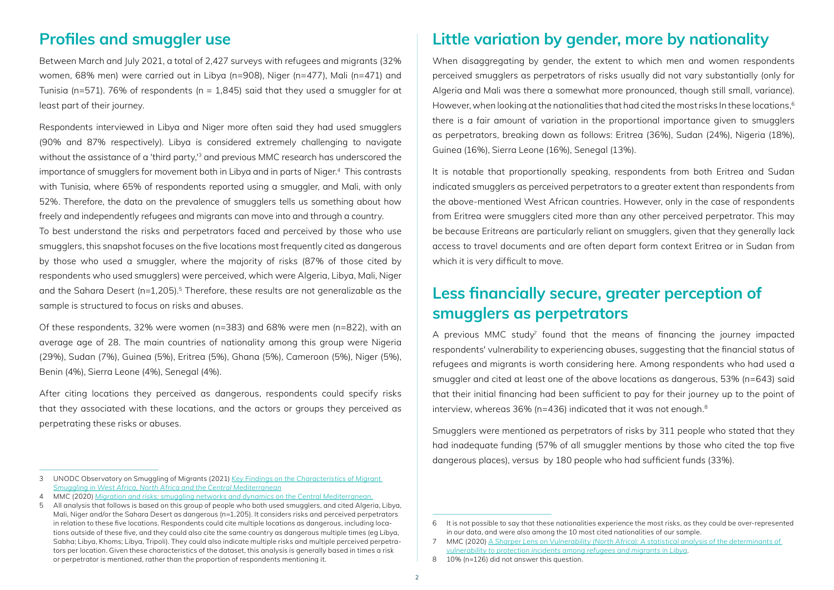#### **Profiles and smuggler use**

Between March and July 2021, a total of 2,427 surveys with refugees and migrants (32% women, 68% men) were carried out in Libya (n=908), Niger (n=477), Mali (n=471) and Tunisia (n=571). 76% of respondents (n = 1,845) said that they used a smuggler for at least part of their journey.

Respondents interviewed in Libya and Niger more often said they had used smugglers (90% and 87% respectively). Libya is considered extremely challenging to navigate without the assistance of a 'third party,<sup>13</sup> and previous MMC research has underscored the importance of smugglers for movement both in Libya and in parts of Niger.4 This contrasts with Tunisia, where 65% of respondents reported using a smuggler, and Mali, with only 52%. Therefore, the data on the prevalence of smugglers tells us something about how freely and independently refugees and migrants can move into and through a country.

To best understand the risks and perpetrators faced and perceived by those who use smugglers, this snapshot focuses on the five locations most frequently cited as dangerous by those who used a smuggler, where the majority of risks (87% of those cited by respondents who used smugglers) were perceived, which were Algeria, Libya, Mali, Niger and the Sahara Desert ( $n=1,205$ ).<sup>5</sup> Therefore, these results are not generalizable as the sample is structured to focus on risks and abuses.

Of these respondents, 32% were women (n=383) and 68% were men (n=822), with an average age of 28. The main countries of nationality among this group were Nigeria (29%), Sudan (7%), Guinea (5%), Eritrea (5%), Ghana (5%), Cameroon (5%), Niger (5%), Benin (4%), Sierra Leone (4%), Senegal (4%).

After citing locations they perceived as dangerous, respondents could specify risks that they associated with these locations, and the actors or groups they perceived as perpetrating these risks or abuses.

4 MMC (2020) *[Migration and risks: smuggling networks and dynamics on the Central Mediterranean.](https://publications.iom.int/system/files/pdf/ch17-migration-and-risks-smuggling-networks.pdf)*

### **Little variation by gender, more by nationality**

When disaggregating by gender, the extent to which men and women respondents perceived smugglers as perpetrators of risks usually did not vary substantially (only for Algeria and Mali was there a somewhat more pronounced, though still small, variance). However, when looking at the nationalities that had cited the most risks In these locations.<sup>6</sup> there is a fair amount of variation in the proportional importance given to smugglers as perpetrators, breaking down as follows: Eritrea (36%), Sudan (24%), Nigeria (18%), Guinea (16%), Sierra Leone (16%), Senegal (13%).

It is notable that proportionally speaking, respondents from both Eritrea and Sudan indicated smugglers as perceived perpetrators to a greater extent than respondents from the above-mentioned West African countries. However, only in the case of respondents from Eritrea were smugglers cited more than any other perceived perpetrator. This may be because Eritreans are particularly reliant on smugglers, given that they generally lack access to travel documents and are often depart form context Eritrea or in Sudan from which it is very difficult to move.

### **Less financially secure, greater perception of smugglers as perpetrators**

A previous MMC study<sup>7</sup> found that the means of financing the journey impacted respondents' vulnerability to experiencing abuses, suggesting that the financial status of refugees and migrants is worth considering here. Among respondents who had used a smuggler and cited at least one of the above locations as dangerous, 53% (n=643) said that their initial financing had been sufficient to pay for their journey up to the point of interview, whereas 36% (n=436) indicated that it was not enough.<sup>8</sup>

Smugglers were mentioned as perpetrators of risks by 311 people who stated that they had inadequate funding (57% of all smuggler mentions by those who cited the top five dangerous places), versus by 180 people who had sufficient funds (33%).

<sup>3</sup> UNODC Observatory on Smuggling of Migrants (2021) *[Key Findings on the Characteristics of Migrant](https://www.unodc.org/res/som/docs/Observatory_Storymap_1_Final_2021.05.19.pdf)  [Smuggling in West Africa, North Africa and the Central Mediterranean](https://www.unodc.org/res/som/docs/Observatory_Storymap_1_Final_2021.05.19.pdf)*

<sup>5</sup> All analysis that follows is based on this group of people who both used smugglers, and cited Algeria, Libya, Mali, Niger and/or the Sahara Desert as dangerous (n=1,205). It considers risks and perceived perpetrators in relation to these five locations. Respondents could cite multiple locations as dangerous, including locations outside of these five, and they could also cite the same country as dangerous multiple times (eg Libya, Sabha; Libya, Khoms; Libya, Tripoli). They could also indicate multiple risks and multiple perceived perpetrators per location. Given these characteristics of the dataset, this analysis is generally based in times a risk or perpetrator is mentioned, rather than the proportion of respondents mentioning it.

<sup>6</sup> It is not possible to say that these nationalities experience the most risks, as they could be over-represented in our data, and were also among the 10 most cited nationalities of our sample.

<sup>7</sup> MMC (2020) *[A Sharper Lens on Vulnerability \(North Africa\): A statistical analysis of the determinants of](https://mixedmigration.org/resource/a-sharper-lens-on-vulnerability-north-africa/)  [vulnerability to protection incidents among refugees and migrants in Libya](https://mixedmigration.org/resource/a-sharper-lens-on-vulnerability-north-africa/)*.

<sup>8</sup> 10% (n=126) did not answer this question.